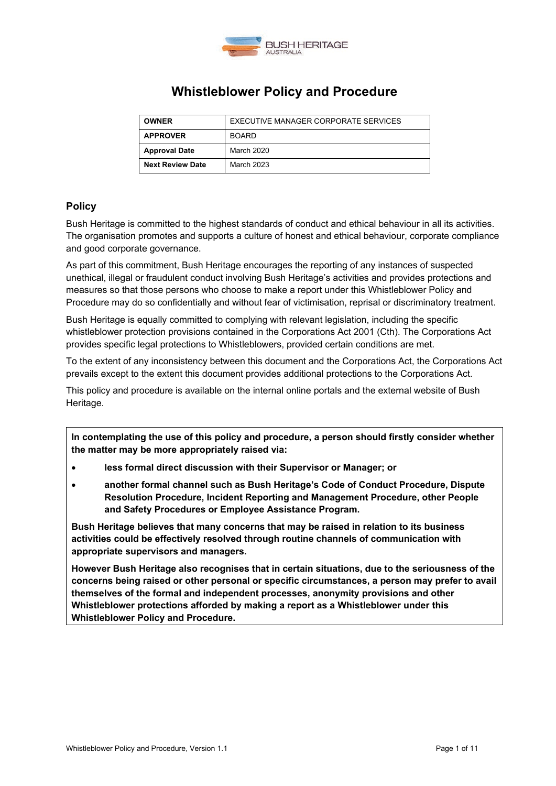

# **Whistleblower Policy and Procedure**

| <b>OWNER</b>            | EXECUTIVE MANAGER CORPORATE SERVICES |
|-------------------------|--------------------------------------|
| <b>APPROVER</b>         | <b>BOARD</b>                         |
| <b>Approval Date</b>    | March 2020                           |
| <b>Next Review Date</b> | March 2023                           |

## **Policy**

Bush Heritage is committed to the highest standards of conduct and ethical behaviour in all its activities. The organisation promotes and supports a culture of honest and ethical behaviour, corporate compliance and good corporate governance.

As part of this commitment, Bush Heritage encourages the reporting of any instances of suspected unethical, illegal or fraudulent conduct involving Bush Heritage's activities and provides protections and measures so that those persons who choose to make a report under this Whistleblower Policy and Procedure may do so confidentially and without fear of victimisation, reprisal or discriminatory treatment.

Bush Heritage is equally committed to complying with relevant legislation, including the specific whistleblower protection provisions contained in the Corporations Act 2001 (Cth). The Corporations Act provides specific legal protections to Whistleblowers, provided certain conditions are met.

To the extent of any inconsistency between this document and the Corporations Act, the Corporations Act prevails except to the extent this document provides additional protections to the Corporations Act.

This policy and procedure is available on the internal online portals and the external website of Bush Heritage.

**In contemplating the use of this policy and procedure, a person should firstly consider whether the matter may be more appropriately raised via:**

- **less formal direct discussion with their Supervisor or Manager; or**
- **another formal channel such as Bush Heritage's Code of Conduct Procedure, Dispute Resolution Procedure, Incident Reporting and Management Procedure, other People and Safety Procedures or Employee Assistance Program.**

**Bush Heritage believes that many concerns that may be raised in relation to its business activities could be effectively resolved through routine channels of communication with appropriate supervisors and managers.**

**However Bush Heritage also recognises that in certain situations, due to the seriousness of the concerns being raised or other personal or specific circumstances, a person may prefer to avail themselves of the formal and independent processes, anonymity provisions and other Whistleblower protections afforded by making a report as a Whistleblower under this Whistleblower Policy and Procedure.**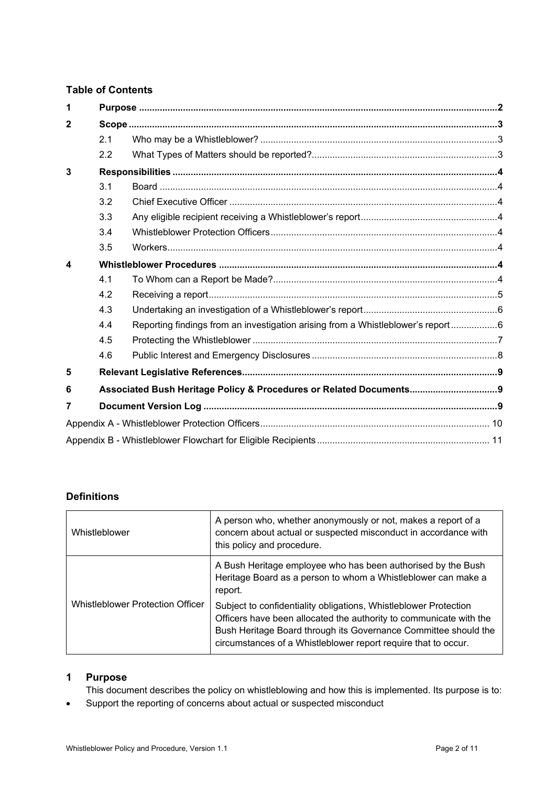## **Table of Contents**

| 1            |     |                                                                                 |  |
|--------------|-----|---------------------------------------------------------------------------------|--|
| $\mathbf{2}$ |     |                                                                                 |  |
|              | 2.1 |                                                                                 |  |
|              | 2.2 |                                                                                 |  |
| 3            |     |                                                                                 |  |
|              | 3.1 |                                                                                 |  |
|              | 3.2 |                                                                                 |  |
|              | 3.3 |                                                                                 |  |
|              | 3.4 |                                                                                 |  |
|              | 3.5 |                                                                                 |  |
| 4            |     |                                                                                 |  |
|              | 4.1 |                                                                                 |  |
|              | 4.2 |                                                                                 |  |
|              | 4.3 |                                                                                 |  |
|              | 4.4 | Reporting findings from an investigation arising from a Whistleblower's report6 |  |
|              | 4.5 |                                                                                 |  |
|              | 4.6 |                                                                                 |  |
| 5            |     |                                                                                 |  |
| 6            |     | Associated Bush Heritage Policy & Procedures or Related Documents 9             |  |
| 7            |     |                                                                                 |  |
|              |     |                                                                                 |  |
|              |     |                                                                                 |  |

## **Definitions**

| Whistleblower                           | A person who, whether anonymously or not, makes a report of a<br>concern about actual or suspected misconduct in accordance with<br>this policy and procedure.                                                                                                              |
|-----------------------------------------|-----------------------------------------------------------------------------------------------------------------------------------------------------------------------------------------------------------------------------------------------------------------------------|
|                                         | A Bush Heritage employee who has been authorised by the Bush<br>Heritage Board as a person to whom a Whistleblower can make a<br>report.                                                                                                                                    |
| <b>Whistleblower Protection Officer</b> | Subject to confidentiality obligations, Whistleblower Protection<br>Officers have been allocated the authority to communicate with the<br>Bush Heritage Board through its Governance Committee should the<br>circumstances of a Whistleblower report require that to occur. |

## <span id="page-1-0"></span>**1 Purpose**

This document describes the policy on whistleblowing and how this is implemented. Its purpose is to:

• Support the reporting of concerns about actual or suspected misconduct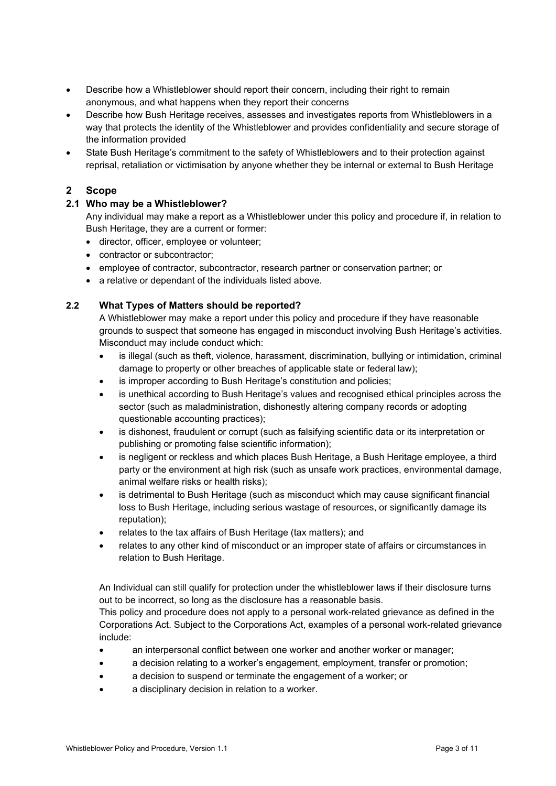- Describe how a Whistleblower should report their concern, including their right to remain anonymous, and what happens when they report their concerns
- Describe how Bush Heritage receives, assesses and investigates reports from Whistleblowers in a way that protects the identity of the Whistleblower and provides confidentiality and secure storage of the information provided
- State Bush Heritage's commitment to the safety of Whistleblowers and to their protection against reprisal, retaliation or victimisation by anyone whether they be internal or external to Bush Heritage

## <span id="page-2-0"></span>**2 Scope**

## <span id="page-2-1"></span>**2.1 Who may be a Whistleblower?**

Any individual may make a report as a Whistleblower under this policy and procedure if, in relation to Bush Heritage, they are a current or former:

- director, officer, employee or volunteer;
- contractor or subcontractor;
- employee of contractor, subcontractor, research partner or conservation partner; or
- a relative or dependant of the individuals listed above.

## <span id="page-2-2"></span>**2.2 What Types of Matters should be reported?**

A Whistleblower may make a report under this policy and procedure if they have reasonable grounds to suspect that someone has engaged in misconduct involving Bush Heritage's activities. Misconduct may include conduct which:

- is illegal (such as theft, violence, harassment, discrimination, bullying or intimidation, criminal damage to property or other breaches of applicable state or federal law);
- is improper according to Bush Heritage's constitution and policies;
- is unethical according to Bush Heritage's values and recognised ethical principles across the sector (such as maladministration, dishonestly altering company records or adopting questionable accounting practices);
- is dishonest, fraudulent or corrupt (such as falsifying scientific data or its interpretation or publishing or promoting false scientific information);
- is negligent or reckless and which places Bush Heritage, a Bush Heritage employee, a third party or the environment at high risk (such as unsafe work practices, environmental damage, animal welfare risks or health risks);
- is detrimental to Bush Heritage (such as misconduct which may cause significant financial loss to Bush Heritage, including serious wastage of resources, or significantly damage its reputation);
- relates to the tax affairs of Bush Heritage (tax matters); and
- relates to any other kind of misconduct or an improper state of affairs or circumstances in relation to Bush Heritage.

An Individual can still qualify for protection under the whistleblower laws if their disclosure turns out to be incorrect, so long as the disclosure has a reasonable basis.

This policy and procedure does not apply to a personal work-related grievance as defined in the Corporations Act. Subject to the Corporations Act, examples of a personal work-related grievance include:

- an interpersonal conflict between one worker and another worker or manager;
- a decision relating to a worker's engagement, employment, transfer or promotion;
- a decision to suspend or terminate the engagement of a worker; or
- a disciplinary decision in relation to a worker.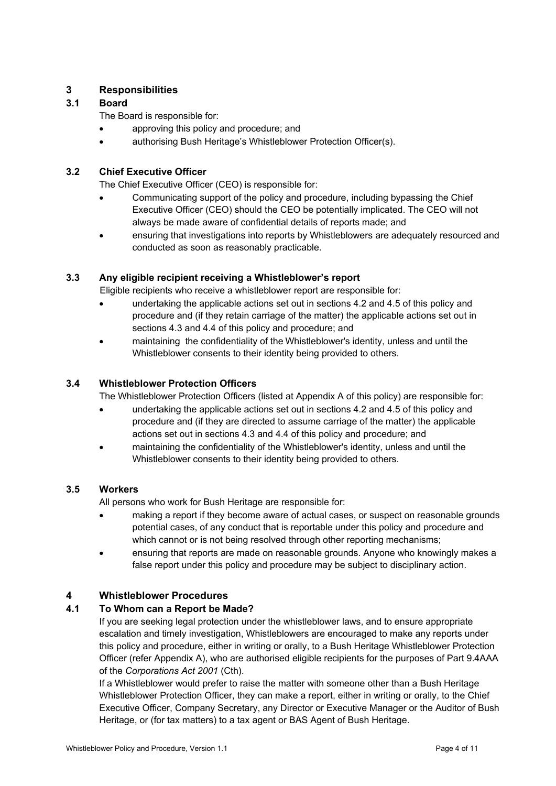## <span id="page-3-0"></span>**3 Responsibilities**

## <span id="page-3-1"></span>**3.1 Board**

The Board is responsible for:

- approving this policy and procedure; and
- authorising Bush Heritage's Whistleblower Protection Officer(s).

## <span id="page-3-2"></span>**3.2 Chief Executive Officer**

The Chief Executive Officer (CEO) is responsible for:

- Communicating support of the policy and procedure, including bypassing the Chief Executive Officer (CEO) should the CEO be potentially implicated. The CEO will not always be made aware of confidential details of reports made; and
- ensuring that investigations into reports by Whistleblowers are adequately resourced and conducted as soon as reasonably practicable.

## <span id="page-3-3"></span>**3.3 Any eligible recipient receiving a Whistleblower's report**

Eligible recipients who receive a whistleblower report are responsible for:

- undertaking the applicable actions set out in sections 4.2 and 4.5 of this policy and procedure and (if they retain carriage of the matter) the applicable actions set out in sections 4.3 and 4.4 of this policy and procedure; and
- maintaining the confidentiality of the Whistleblower's identity, unless and until the Whistleblower consents to their identity being provided to others.

## <span id="page-3-4"></span>**3.4 Whistleblower Protection Officers**

The Whistleblower Protection Officers (listed at Appendix A of this policy) are responsible for:

- undertaking the applicable actions set out in sections 4.2 and 4.5 of this policy and procedure and (if they are directed to assume carriage of the matter) the applicable actions set out in sections 4.3 and 4.4 of this policy and procedure; and
- maintaining the confidentiality of the Whistleblower's identity, unless and until the Whistleblower consents to their identity being provided to others.

## <span id="page-3-5"></span>**3.5 Workers**

All persons who work for Bush Heritage are responsible for:

- making a report if they become aware of actual cases, or suspect on reasonable grounds potential cases, of any conduct that is reportable under this policy and procedure and which cannot or is not being resolved through other reporting mechanisms;
- ensuring that reports are made on reasonable grounds. Anyone who knowingly makes a false report under this policy and procedure may be subject to disciplinary action.

## <span id="page-3-6"></span>**4 Whistleblower Procedures**

## <span id="page-3-7"></span>**4.1 To Whom can a Report be Made?**

If you are seeking legal protection under the whistleblower laws, and to ensure appropriate escalation and timely investigation, Whistleblowers are encouraged to make any reports under this policy and procedure, either in writing or orally, to a Bush Heritage Whistleblower Protection Officer (refer Appendix A), who are authorised eligible recipients for the purposes of Part 9.4AAA of the *Corporations Act 2001* (Cth).

If a Whistleblower would prefer to raise the matter with someone other than a Bush Heritage Whistleblower Protection Officer, they can make a report, either in writing or orally, to the Chief Executive Officer, Company Secretary, any Director or Executive Manager or the Auditor of Bush Heritage, or (for tax matters) to a tax agent or BAS Agent of Bush Heritage.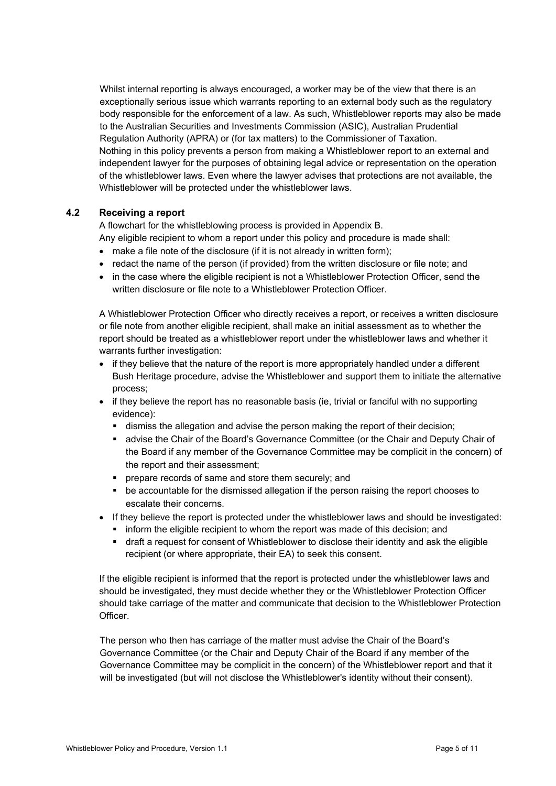Whilst internal reporting is always encouraged, a worker may be of the view that there is an exceptionally serious issue which warrants reporting to an external body such as the regulatory body responsible for the enforcement of a law. As such, Whistleblower reports may also be made to the Australian Securities and Investments Commission (ASIC), Australian Prudential Regulation Authority (APRA) or (for tax matters) to the Commissioner of Taxation. Nothing in this policy prevents a person from making a Whistleblower report to an external and independent lawyer for the purposes of obtaining legal advice or representation on the operation of the whistleblower laws. Even where the lawyer advises that protections are not available, the Whistleblower will be protected under the whistleblower laws.

#### <span id="page-4-0"></span>**4.2 Receiving a report**

A flowchart for the whistleblowing process is provided in Appendix B.

Any eligible recipient to whom a report under this policy and procedure is made shall:

- make a file note of the disclosure (if it is not already in written form);
- redact the name of the person (if provided) from the written disclosure or file note; and
- in the case where the eligible recipient is not a Whistleblower Protection Officer, send the written disclosure or file note to a Whistleblower Protection Officer.

A Whistleblower Protection Officer who directly receives a report, or receives a written disclosure or file note from another eligible recipient, shall make an initial assessment as to whether the report should be treated as a whistleblower report under the whistleblower laws and whether it warrants further investigation:

- if they believe that the nature of the report is more appropriately handled under a different Bush Heritage procedure, advise the Whistleblower and support them to initiate the alternative process;
- if they believe the report has no reasonable basis (ie, trivial or fanciful with no supporting evidence):
	- dismiss the allegation and advise the person making the report of their decision;
	- advise the Chair of the Board's Governance Committee (or the Chair and Deputy Chair of the Board if any member of the Governance Committee may be complicit in the concern) of the report and their assessment;
	- **PEDEPARE FECORD STATE SHOW SECUTE:** prepare records of same and store them securely; and
	- be accountable for the dismissed allegation if the person raising the report chooses to escalate their concerns.
- If they believe the report is protected under the whistleblower laws and should be investigated:
	- **•** inform the eligible recipient to whom the report was made of this decision; and
	- draft a request for consent of Whistleblower to disclose their identity and ask the eligible recipient (or where appropriate, their EA) to seek this consent.

If the eligible recipient is informed that the report is protected under the whistleblower laws and should be investigated, they must decide whether they or the Whistleblower Protection Officer should take carriage of the matter and communicate that decision to the Whistleblower Protection Officer.

The person who then has carriage of the matter must advise the Chair of the Board's Governance Committee (or the Chair and Deputy Chair of the Board if any member of the Governance Committee may be complicit in the concern) of the Whistleblower report and that it will be investigated (but will not disclose the Whistleblower's identity without their consent).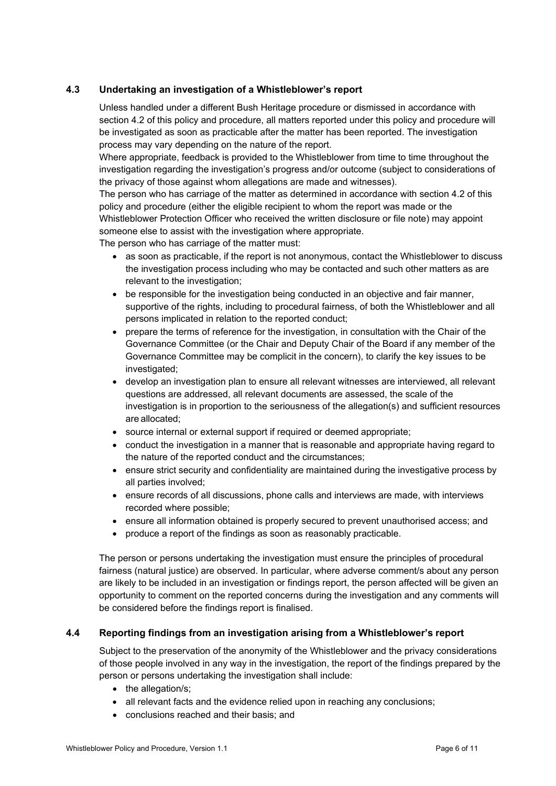## <span id="page-5-0"></span>**4.3 Undertaking an investigation of a Whistleblower's report**

Unless handled under a different Bush Heritage procedure or dismissed in accordance with section 4.2 of this policy and procedure, all matters reported under this policy and procedure will be investigated as soon as practicable after the matter has been reported. The investigation process may vary depending on the nature of the report.

Where appropriate, feedback is provided to the Whistleblower from time to time throughout the investigation regarding the investigation's progress and/or outcome (subject to considerations of the privacy of those against whom allegations are made and witnesses).

The person who has carriage of the matter as determined in accordance with section 4.2 of this policy and procedure (either the eligible recipient to whom the report was made or the Whistleblower Protection Officer who received the written disclosure or file note) may appoint someone else to assist with the investigation where appropriate.

The person who has carriage of the matter must:

- as soon as practicable, if the report is not anonymous, contact the Whistleblower to discuss the investigation process including who may be contacted and such other matters as are relevant to the investigation;
- be responsible for the investigation being conducted in an objective and fair manner, supportive of the rights, including to procedural fairness, of both the Whistleblower and all persons implicated in relation to the reported conduct;
- prepare the terms of reference for the investigation, in consultation with the Chair of the Governance Committee (or the Chair and Deputy Chair of the Board if any member of the Governance Committee may be complicit in the concern), to clarify the key issues to be investigated;
- develop an investigation plan to ensure all relevant witnesses are interviewed, all relevant questions are addressed, all relevant documents are assessed, the scale of the investigation is in proportion to the seriousness of the allegation(s) and sufficient resources are allocated;
- source internal or external support if required or deemed appropriate;
- conduct the investigation in a manner that is reasonable and appropriate having regard to the nature of the reported conduct and the circumstances;
- ensure strict security and confidentiality are maintained during the investigative process by all parties involved;
- ensure records of all discussions, phone calls and interviews are made, with interviews recorded where possible;
- ensure all information obtained is properly secured to prevent unauthorised access; and
- produce a report of the findings as soon as reasonably practicable.

The person or persons undertaking the investigation must ensure the principles of procedural fairness (natural justice) are observed. In particular, where adverse comment/s about any person are likely to be included in an investigation or findings report, the person affected will be given an opportunity to comment on the reported concerns during the investigation and any comments will be considered before the findings report is finalised.

#### <span id="page-5-1"></span>**4.4 Reporting findings from an investigation arising from a Whistleblower's report**

Subject to the preservation of the anonymity of the Whistleblower and the privacy considerations of those people involved in any way in the investigation, the report of the findings prepared by the person or persons undertaking the investigation shall include:

- the allegation/s;
- all relevant facts and the evidence relied upon in reaching any conclusions:
- conclusions reached and their basis; and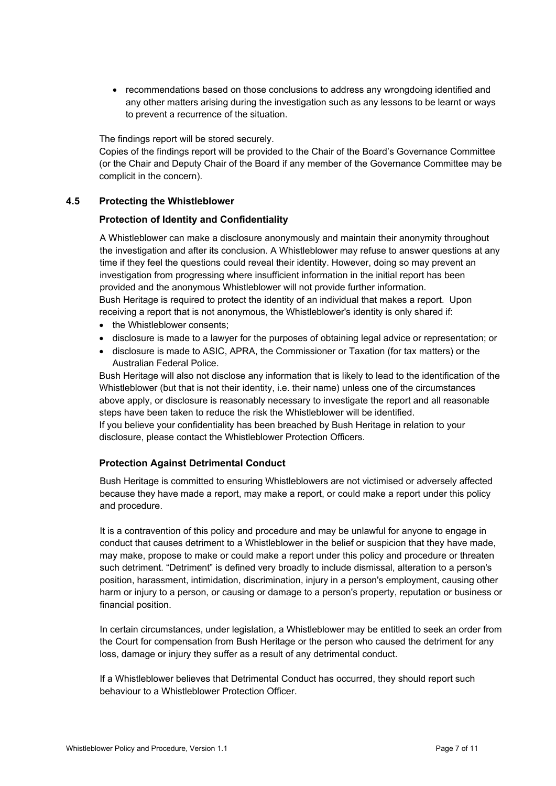• recommendations based on those conclusions to address any wrongdoing identified and any other matters arising during the investigation such as any lessons to be learnt or ways to prevent a recurrence of the situation.

The findings report will be stored securely.

Copies of the findings report will be provided to the Chair of the Board's Governance Committee (or the Chair and Deputy Chair of the Board if any member of the Governance Committee may be complicit in the concern).

#### <span id="page-6-0"></span>**4.5 Protecting the Whistleblower**

#### **Protection of Identity and Confidentiality**

A Whistleblower can make a disclosure anonymously and maintain their anonymity throughout the investigation and after its conclusion. A Whistleblower may refuse to answer questions at any time if they feel the questions could reveal their identity. However, doing so may prevent an investigation from progressing where insufficient information in the initial report has been provided and the anonymous Whistleblower will not provide further information. Bush Heritage is required to protect the identity of an individual that makes a report. Upon receiving a report that is not anonymous, the Whistleblower's identity is only shared if:

- the Whistleblower consents:
- disclosure is made to a lawyer for the purposes of obtaining legal advice or representation; or
- disclosure is made to ASIC, APRA, the Commissioner or Taxation (for tax matters) or the Australian Federal Police.

Bush Heritage will also not disclose any information that is likely to lead to the identification of the Whistleblower (but that is not their identity, i.e. their name) unless one of the circumstances above apply, or disclosure is reasonably necessary to investigate the report and all reasonable steps have been taken to reduce the risk the Whistleblower will be identified. If you believe your confidentiality has been breached by Bush Heritage in relation to your

disclosure, please contact the Whistleblower Protection Officers.

#### **Protection Against Detrimental Conduct**

Bush Heritage is committed to ensuring Whistleblowers are not victimised or adversely affected because they have made a report, may make a report, or could make a report under this policy and procedure.

It is a contravention of this policy and procedure and may be unlawful for anyone to engage in conduct that causes detriment to a Whistleblower in the belief or suspicion that they have made, may make, propose to make or could make a report under this policy and procedure or threaten such detriment. "Detriment" is defined very broadly to include dismissal, alteration to a person's position, harassment, intimidation, discrimination, injury in a person's employment, causing other harm or injury to a person, or causing or damage to a person's property, reputation or business or financial position.

In certain circumstances, under legislation, a Whistleblower may be entitled to seek an order from the Court for compensation from Bush Heritage or the person who caused the detriment for any loss, damage or injury they suffer as a result of any detrimental conduct.

If a Whistleblower believes that Detrimental Conduct has occurred, they should report such behaviour to a Whistleblower Protection Officer.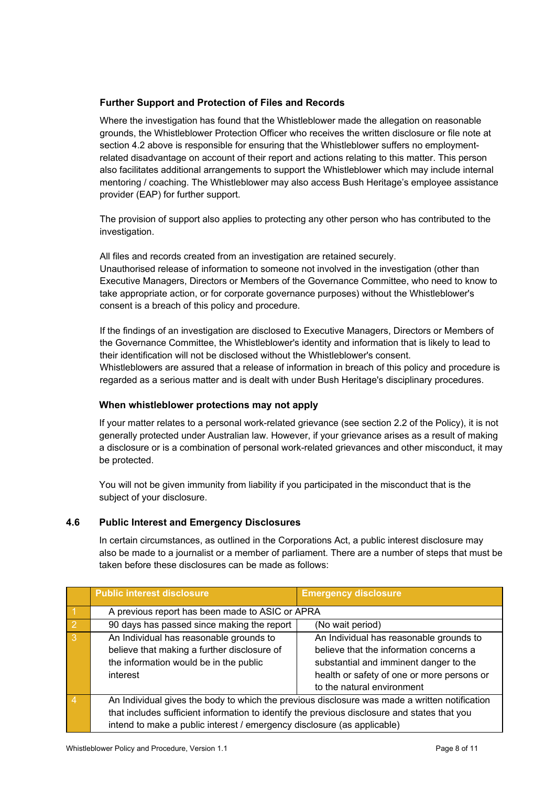## **Further Support and Protection of Files and Records**

Where the investigation has found that the Whistleblower made the allegation on reasonable grounds, the Whistleblower Protection Officer who receives the written disclosure or file note at section 4.2 above is responsible for ensuring that the Whistleblower suffers no employmentrelated disadvantage on account of their report and actions relating to this matter. This person also facilitates additional arrangements to support the Whistleblower which may include internal mentoring / coaching. The Whistleblower may also access Bush Heritage's employee assistance provider (EAP) for further support.

The provision of support also applies to protecting any other person who has contributed to the investigation.

All files and records created from an investigation are retained securely. Unauthorised release of information to someone not involved in the investigation (other than Executive Managers, Directors or Members of the Governance Committee, who need to know to take appropriate action, or for corporate governance purposes) without the Whistleblower's consent is a breach of this policy and procedure.

If the findings of an investigation are disclosed to Executive Managers, Directors or Members of the Governance Committee, the Whistleblower's identity and information that is likely to lead to their identification will not be disclosed without the Whistleblower's consent. Whistleblowers are assured that a release of information in breach of this policy and procedure is regarded as a serious matter and is dealt with under Bush Heritage's disciplinary procedures.

#### **When whistleblower protections may not apply**

If your matter relates to a personal work-related grievance (see section 2.2 of the Policy), it is not generally protected under Australian law. However, if your grievance arises as a result of making a disclosure or is a combination of personal work-related grievances and other misconduct, it may be protected.

You will not be given immunity from liability if you participated in the misconduct that is the subject of your disclosure.

#### <span id="page-7-0"></span>**4.6 Public Interest and Emergency Disclosures**

In certain circumstances, as outlined in the Corporations Act, a public interest disclosure may also be made to a journalist or a member of parliament. There are a number of steps that must be taken before these disclosures can be made as follows:

|                | <b>Public interest disclosure</b>                                                            | <b>Emergency disclosure</b>                                                                   |
|----------------|----------------------------------------------------------------------------------------------|-----------------------------------------------------------------------------------------------|
|                | A previous report has been made to ASIC or APRA                                              |                                                                                               |
| $\overline{2}$ | 90 days has passed since making the report                                                   | (No wait period)                                                                              |
| -3             | An Individual has reasonable grounds to                                                      | An Individual has reasonable grounds to                                                       |
|                | believe that making a further disclosure of                                                  | believe that the information concerns a                                                       |
|                | the information would be in the public                                                       | substantial and imminent danger to the                                                        |
|                | interest                                                                                     | health or safety of one or more persons or                                                    |
|                |                                                                                              | to the natural environment                                                                    |
|                |                                                                                              | An Individual gives the body to which the previous disclosure was made a written notification |
|                | that includes sufficient information to identify the previous disclosure and states that you |                                                                                               |
|                | intend to make a public interest / emergency disclosure (as applicable)                      |                                                                                               |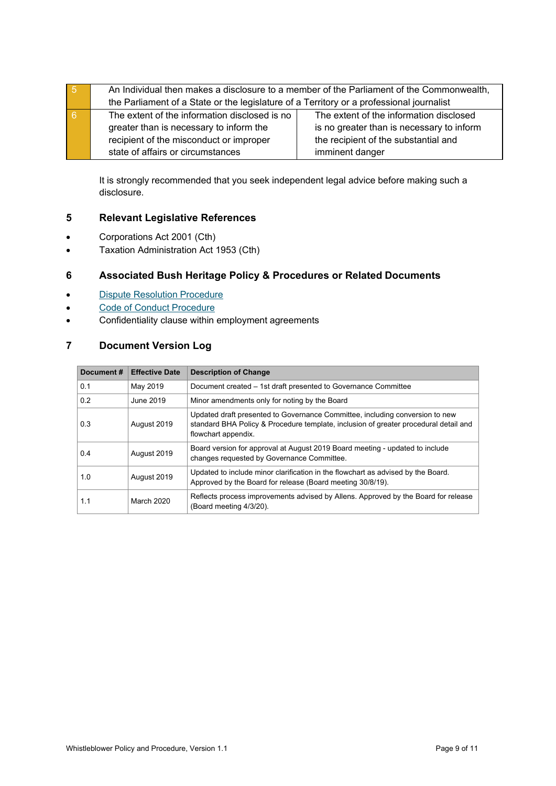| l 5            |                                                                                          | An Individual then makes a disclosure to a member of the Parliament of the Commonwealth, |
|----------------|------------------------------------------------------------------------------------------|------------------------------------------------------------------------------------------|
|                | the Parliament of a State or the legislature of a Territory or a professional journalist |                                                                                          |
| $\overline{6}$ | The extent of the information disclosed is no                                            | The extent of the information disclosed                                                  |
|                | greater than is necessary to inform the                                                  | is no greater than is necessary to inform                                                |
|                | recipient of the misconduct or improper                                                  | the recipient of the substantial and                                                     |
|                | state of affairs or circumstances                                                        | imminent danger                                                                          |

It is strongly recommended that you seek independent legal advice before making such a disclosure.

## <span id="page-8-0"></span>**5 Relevant Legislative References**

- Corporations Act 2001 (Cth)
- Taxation Administration Act 1953 (Cth)

## <span id="page-8-1"></span>**6 Associated Bush Heritage Policy & Procedures or Related Documents**

- [Dispute Resolution](https://bushheritageaustralia.sharepoint.com/:b:/s/CorpSvc/EX6g5WVEC_ZLrFda-P8jmkAB1HisHoeX23mpVI032zSFiA?e=XhIjsj) Procedure
- [Code of Conduct](https://bushheritageaustralia.sharepoint.com/:b:/s/CorpSvc/ER9po-9umEBKlc_5mOw7hhAB-VYJowrLrehiubpT_8VCiA?e=k7tuMy) Procedure
- Confidentiality clause within employment agreements

## <span id="page-8-2"></span>**7 Document Version Log**

| Document# | <b>Effective Date</b> | <b>Description of Change</b>                                                                                                                                                                |
|-----------|-----------------------|---------------------------------------------------------------------------------------------------------------------------------------------------------------------------------------------|
| 0.1       | May 2019              | Document created - 1st draft presented to Governance Committee                                                                                                                              |
| 0.2       | June 2019             | Minor amendments only for noting by the Board                                                                                                                                               |
| 0.3       | August 2019           | Updated draft presented to Governance Committee, including conversion to new<br>standard BHA Policy & Procedure template, inclusion of greater procedural detail and<br>flowchart appendix. |
| 0.4       | August 2019           | Board version for approval at August 2019 Board meeting - updated to include<br>changes requested by Governance Committee.                                                                  |
| 1.0       | August 2019           | Updated to include minor clarification in the flowchart as advised by the Board.<br>Approved by the Board for release (Board meeting 30/8/19).                                              |
| 1.1       | <b>March 2020</b>     | Reflects process improvements advised by Allens. Approved by the Board for release<br>(Board meeting 4/3/20).                                                                               |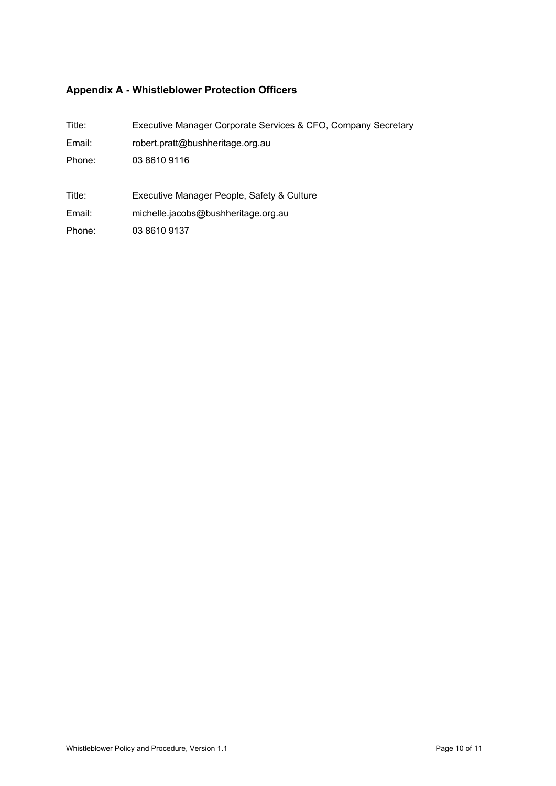## <span id="page-9-0"></span>**Appendix A - Whistleblower Protection Officers**

| Title: | Executive Manager Corporate Services & CFO, Company Secretary |
|--------|---------------------------------------------------------------|
| Email: | robert.pratt@bushheritage.org.au                              |
| Phone: | 03 8610 9116                                                  |
|        |                                                               |
|        |                                                               |
| Title: | Executive Manager People, Safety & Culture                    |
| Email: | michelle.jacobs@bushheritage.org.au                           |